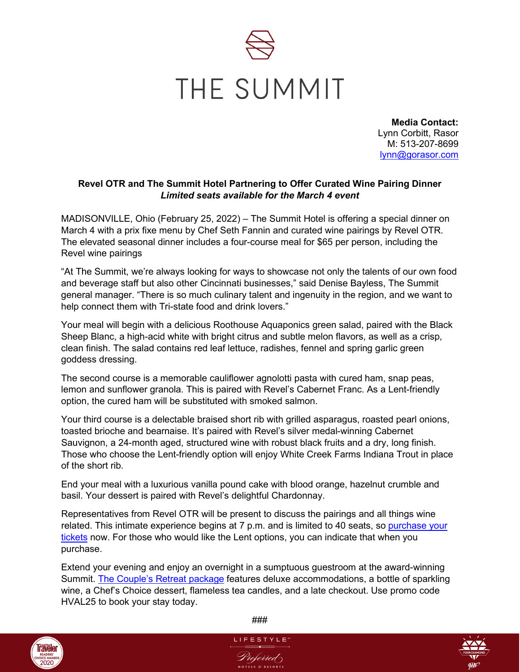

**Media Contact:** Lynn Corbitt, Rasor M: 513-207-8699 [lynn@gorasor.com](mailto:lynn@gorasor.com)

## **Revel OTR and The Summit Hotel Partnering to Offer Curated Wine Pairing Dinner**  *Limited seats available for the March 4 event*

MADISONVILLE, Ohio (February 25, 2022) – The Summit Hotel is offering a special dinner on March 4 with a prix fixe menu by Chef Seth Fannin and curated wine pairings by Revel OTR. The elevated seasonal dinner includes a four-course meal for \$65 per person, including the Revel wine pairings

"At The Summit, we're always looking for ways to showcase not only the talents of our own food and beverage staff but also other Cincinnati businesses," said Denise Bayless, The Summit general manager. "There is so much culinary talent and ingenuity in the region, and we want to help connect them with Tri-state food and drink lovers."

Your meal will begin with a delicious Roothouse Aquaponics green salad, paired with the Black Sheep Blanc, a high-acid white with bright citrus and subtle melon flavors, as well as a crisp, clean finish. The salad contains red leaf lettuce, radishes, fennel and spring garlic green goddess dressing.

The second course is a memorable cauliflower agnolotti pasta with cured ham, snap peas, lemon and sunflower granola. This is paired with Revel's Cabernet Franc. As a Lent-friendly option, the cured ham will be substituted with smoked salmon.

Your third course is a delectable braised short rib with grilled asparagus, roasted pearl onions, toasted brioche and bearnaise. It's paired with Revel's silver medal-winning Cabernet Sauvignon, a 24-month aged, structured wine with robust black fruits and a dry, long finish. Those who choose the Lent-friendly option will enjoy White Creek Farms Indiana Trout in place of the short rib.

End your meal with a luxurious vanilla pound cake with blood orange, hazelnut crumble and basil. Your dessert is paired with Revel's delightful Chardonnay.

Representatives from Revel OTR will be present to discuss the pairings and all things wine related. This intimate experience begins at 7 p.m. and is limited to 40 seats, so [purchase your](https://www.eventbrite.com/e/revel-wine-dinner-tickets-265183660467)  [tickets](https://www.eventbrite.com/e/revel-wine-dinner-tickets-265183660467) now. For those who would like the Lent options, you can indicate that when you purchase.

Extend your evening and enjoy an overnight in a sumptuous guestroom at the award-winning Summit. The [Couple's Retreat](https://www.thesummithotel.com/offers-packages) package features deluxe accommodations, a bottle of sparkling wine, a Chef's Choice dessert, flameless tea candles, and a late checkout. Use promo code HVAL25 to book your stay today.



###